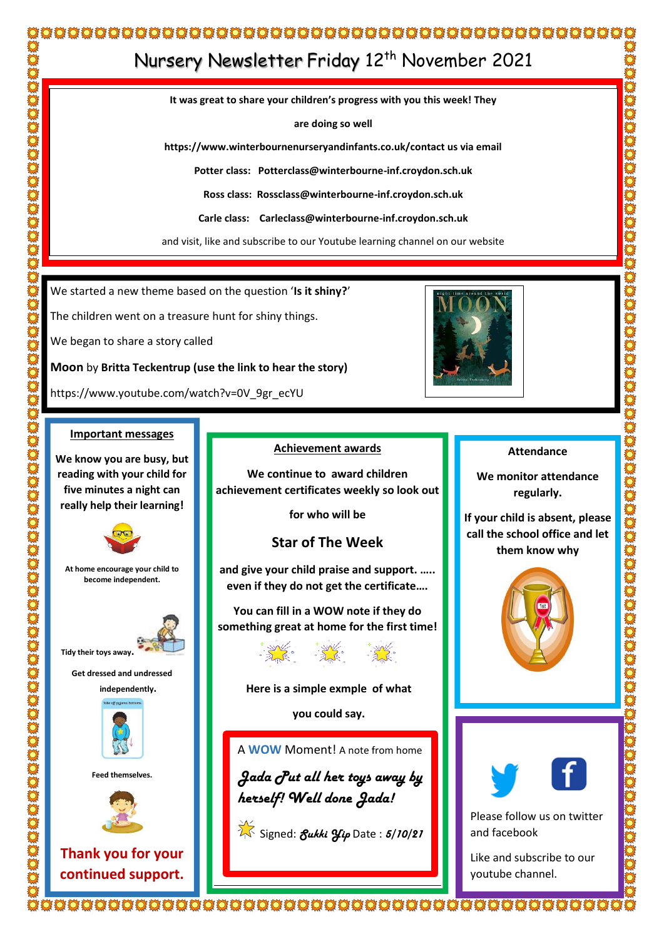## 

# Nursery Newsletter Friday 12<sup>th</sup> November 2021

**It was great to share your children's progress with you this week! They**

**are doing so well**

**https://www.winterbournenurseryandinfants.co.uk/contact us via email**

**Potter class: Potterclass@winterbourne-inf.croydon.sch.uk**

**Ross class: Rossclass@winterbourne-inf.croydon.sch.uk**

**Carle class: Carleclass@winterbourne-inf.croydon.sch.uk**

and visit, like and subscribe to our Youtube learning channel on our website

We started a new theme based on the question '**Is it shiny?**'

The children went on a treasure hunt for shiny things.

We began to share a story called

**Moon** by **Britta Teckentrup (use the link to hear the story)**

https://www.youtube.com/watch?v=0V\_9gr\_ecYU

#### **Important messages**

**We know you are busy, but reading with your child for five minutes a night can really help their learning!**



**At home encourage your child to become independent.**



**Get dressed and undressed** 





**Feed themselves.**



**Thank you for your continued support.**

#### **Achievement awards**

**We continue to award children achievement certificates weekly so look out**

**for who will be**

### **Star of The Week**

**and give your child praise and support. ….. even if they do not get the certificate….** 

**You can fill in a WOW note if they do something great at home for the first time!** 

#### **Here is a simple exmple of what**

**you could say.**

 A **WOW** Moment! A note from home

*Jada Put all her toys away by herself! Well done Jada!*

Signed: *Sukki Yip* Date : *5/10/21*



#### **Attendance**

**We monitor attendance regularly.**

**If your child is absent, please call the school office and let them know why** 







Like and subscribe to our youtube channel.